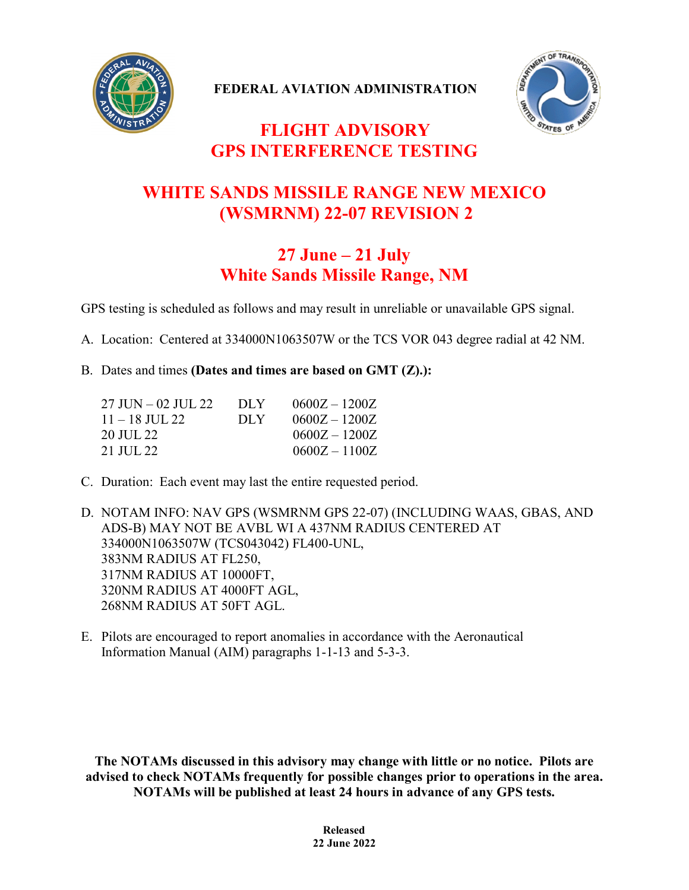

**FEDERAL AVIATION ADMINISTRATION**



## **FLIGHT ADVISORY GPS INTERFERENCE TESTING**

## **WHITE SANDS MISSILE RANGE NEW MEXICO (WSMRNM) 22-07 REVISION 2**

## **27 June – 21 July White Sands Missile Range, NM**

GPS testing is scheduled as follows and may result in unreliable or unavailable GPS signal.

A. Location: Centered at 334000N1063507W or the TCS VOR 043 degree radial at 42 NM.

## B. Dates and times **(Dates and times are based on GMT (Z).):**

| 27 JUN – 02 JUL 22 | DLY  | $0600Z - 1200Z$ |
|--------------------|------|-----------------|
| $11 - 18$ JUL 22   | DLY. | $0600Z - 1200Z$ |
| 20 JUL 22 -        |      | $0600Z - 1200Z$ |
| 21 JUL 22          |      | $0600Z - 1100Z$ |

C. Duration: Each event may last the entire requested period.

D. NOTAM INFO: NAV GPS (WSMRNM GPS 22-07) (INCLUDING WAAS, GBAS, AND ADS-B) MAY NOT BE AVBL WI A 437NM RADIUS CENTERED AT 334000N1063507W (TCS043042) FL400-UNL, 383NM RADIUS AT FL250, 317NM RADIUS AT 10000FT, 320NM RADIUS AT 4000FT AGL, 268NM RADIUS AT 50FT AGL.

E. Pilots are encouraged to report anomalies in accordance with the Aeronautical Information Manual (AIM) paragraphs 1-1-13 and 5-3-3.

**The NOTAMs discussed in this advisory may change with little or no notice. Pilots are advised to check NOTAMs frequently for possible changes prior to operations in the area. NOTAMs will be published at least 24 hours in advance of any GPS tests.**